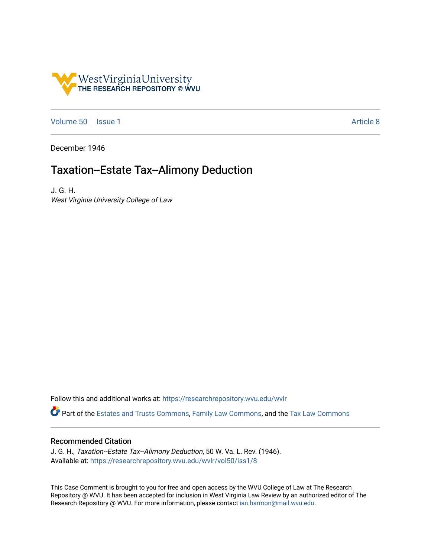

[Volume 50](https://researchrepository.wvu.edu/wvlr/vol50) | [Issue 1](https://researchrepository.wvu.edu/wvlr/vol50/iss1) Article 8

December 1946

# Taxation--Estate Tax--Alimony Deduction

J. G. H. West Virginia University College of Law

Follow this and additional works at: [https://researchrepository.wvu.edu/wvlr](https://researchrepository.wvu.edu/wvlr?utm_source=researchrepository.wvu.edu%2Fwvlr%2Fvol50%2Fiss1%2F8&utm_medium=PDF&utm_campaign=PDFCoverPages) 

Part of the [Estates and Trusts Commons,](http://network.bepress.com/hgg/discipline/906?utm_source=researchrepository.wvu.edu%2Fwvlr%2Fvol50%2Fiss1%2F8&utm_medium=PDF&utm_campaign=PDFCoverPages) [Family Law Commons,](http://network.bepress.com/hgg/discipline/602?utm_source=researchrepository.wvu.edu%2Fwvlr%2Fvol50%2Fiss1%2F8&utm_medium=PDF&utm_campaign=PDFCoverPages) and the [Tax Law Commons](http://network.bepress.com/hgg/discipline/898?utm_source=researchrepository.wvu.edu%2Fwvlr%2Fvol50%2Fiss1%2F8&utm_medium=PDF&utm_campaign=PDFCoverPages) 

## Recommended Citation

J. G. H., Taxation--Estate Tax--Alimony Deduction, 50 W. Va. L. Rev. (1946). Available at: [https://researchrepository.wvu.edu/wvlr/vol50/iss1/8](https://researchrepository.wvu.edu/wvlr/vol50/iss1/8?utm_source=researchrepository.wvu.edu%2Fwvlr%2Fvol50%2Fiss1%2F8&utm_medium=PDF&utm_campaign=PDFCoverPages)

This Case Comment is brought to you for free and open access by the WVU College of Law at The Research Repository @ WVU. It has been accepted for inclusion in West Virginia Law Review by an authorized editor of The Research Repository @ WVU. For more information, please contact [ian.harmon@mail.wvu.edu.](mailto:ian.harmon@mail.wvu.edu)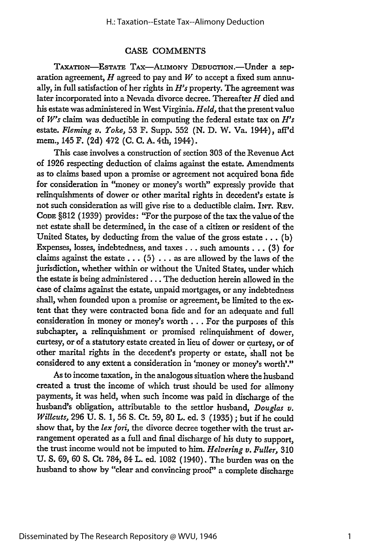#### CASE COMMENTS

TAXATION-ESTATE TAX-ALIMONY DEDUCTION.-Under a separation agreement, *H* agreed to pay and *W* to accept a fixed sum annually, in full satisfaction of her rights in *H's* property. The agreement was later incorporated into a Nevada divorce decree. Thereafter *H* died and his estate was administered in West Virginia. *Held,* that the present value of *W's* claim was deductible in computing the federal estate tax on *H's* estate. *Fleming v. Yoke,* 53 F. Supp. 552 (N. D. W. Va. 1944), aff'd mem., 145 F. (2d) 472 (C. C. A. 4th, 1944).

This case involves a construction of section 303 of the Revenue Act of 1926 respecting deduction of claims against the estate. Amendments as to claims based upon a promise or agreement not acquired bona fide for consideration in "money or money's worth" expressly provide that relinquishments of dower or other marital rights in decedent's estate is not such consideration as will give rise to a deductible claim. INT. REV. CODE §812 (1939) provides: "For the purpose of the tax the value of the net estate shall be determined, in the case of a citizen or resident of the United States, by deducting from the value of the gross estate... (b) Expenses, losses, indebtedness, and taxes **...** such amounts... (3) for claims against the estate  $\dots$  (5)  $\dots$  as are allowed by the laws of the jurisdiction, whether within or without the United States, under which the estate is being administered **...** The deduction herein allowed in the case of claims against the estate, unpaid mortgages, or any indebtedness shall, when founded upon a promise or agreement, be limited to the extent that they were contracted bona fide and for an adequate and full consideration in money or money's worth... For the purposes of this subchapter, a relinquishment or promised relinquishment of dower, curtesy, or of a statutory estate created in lieu of dower or curtesy, or of other marital rights in the decedent's property or estate, shall not be considered to any extent a consideration in 'money or money's worth'."

As to income taxation, in the analogous situation where the husband created a trust the income of which trust should be used for alimony payments, it was held, when such income was paid in discharge of the husband's obligation, attributable to the settlor husband, *Douglas v. Willcuts,* 296 U. **S.** 1, 56 **S.** Ct. 59, 80 L. ed. 3 (1935) ; but if he could show that, by the *lex fori,* the divorce decree together with the trust arrangement operated as a full and final discharge of his duty to support, the trust income would not be imputed to him. *Helvering v. Fuller,* 310 U. **S.** 69, 60 **S.** Ct. 784, 84 L. ed. 1082 (1940). The burden was on the husband to show by "clear and convincing proof" a complete discharge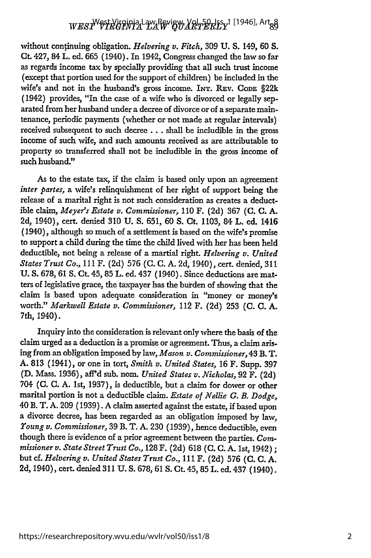## W*ESI<sup>W</sup>VIRGINIA* LAW REVIEW, YRITIGINI (1946), Art<sub>8</sub>8

without continuing obligation. *Helvering v. Fitch,* 309 **U. S.** 149, 60 **S.** Ct. 427, 84 L. ed. 665 (1940). In 1942, Congress changed the law so far as regards income tax **by** specially providing that all such trust income (except that portion used for the support of children) be included in the wife's and not in the husband's gross income. INT. **REv. CODE** §22k (1942) provides, "In the case of a wife who is divorced or legally separated from her husband under a decree of divorce or of a separate maintenance, periodic payments (whether or not made at regular intervals) received subsequent to such decree... shall be includible in the gross income of such wife, and such amounts received as are attributable to property so transferred shall not be includible in the gross income of such husband."

As to the estate tax, if the claim is based only upon an agreement *inter partes,* a wife's relinquishment of her right of support being the release of a marital right is not such consideration as creates a deductible claim, *Meyer's Estate v. Commissioner,* 110 F. (2d) 367 **(C.** C. A. 2d, 1940), cert. denied 310 U. S. 651, 60 S. Ct. 1103, 84 L. ed. 1416 (1940), although so much of a settlement is based on the wife's promise to support a child during the time the child lived with her has been held deductible, not being a release of a martial right. *Helvering v. United States Trust Co.,* 111 F. (2d) 576 (C. C. A. 2d, 1940), cert. denied, 311 U. S. 678, 61 **S.** Ct. 45, 85 L. ed. 437 (1940). Since deductions are matters of legislative grace, the taxpayer has the burden of showing that the claim is based upon adequate consideration in "money or money's worth." *Markwell Estate v. Commissioner,* 112 F. (2d) 253 (C. **C.** A. 7th, 1940).

Inquiry into the consideration is relevant only where the basis of the claim urged as a deduction is a promise or agreement. Thus, a claim arising from an obligation imposed by law, *Mason v. Commissioner,* 43 B. T. A. 813 (1941), or one in tort, *Smith v. United States,* **16** F. Supp. 397 **(D.** Mass. 1936), affd sub. nom. *United States v. Nicholas,* 92 F. (2d) 704 (C. **C.** A. 1st, 1937), is deductible, but a claim for dower or other marital portion is not a deductible claim. *Estate of Nellie G. B. Dodge,* 40 B. T. A. 209 (1939). A claim asserted against the estate, if based upon a divorce decree, has been regarded as an obligation imposed by law, *Young v. Commissioner,* 39 B. T. A. 230 (1939), hence deductible, even though there is evidence of a prior agreement between the parties. *Commissioner v. State Street Trust Co.,* 128 F. (2d) 618 **(C. C. A.** 1st, 1942) **;** but cf. *Helvering v. United States Trust Co.,* 111 F. (2d) 576 **(C. C.** A. 2d, 1940), cert. denied 311 **U.** S. 678, 61 **S.** Ct. 45, 85 L. ed. 437 (1940).